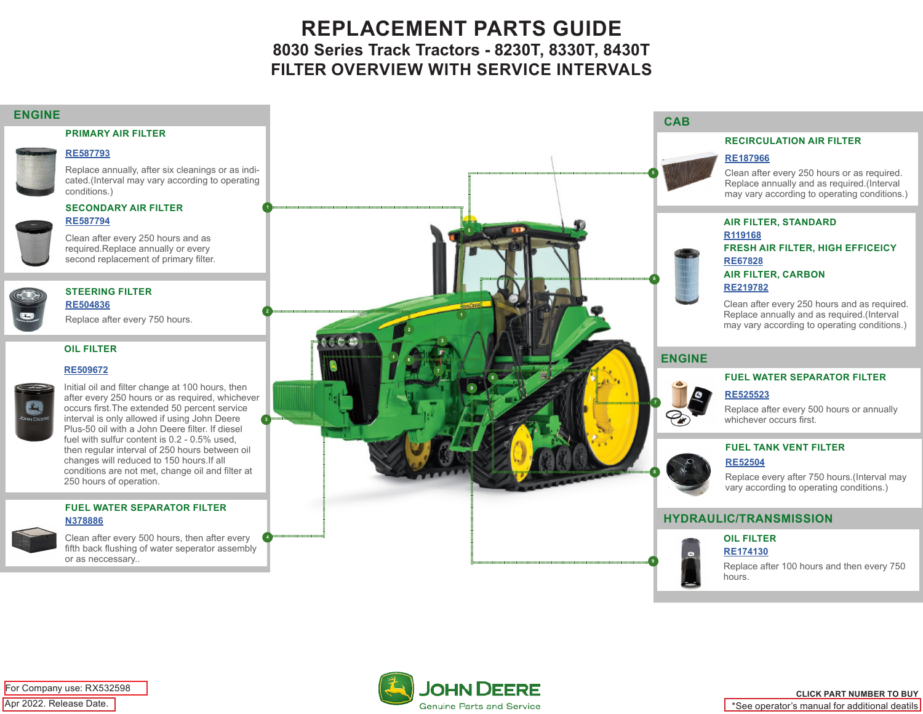# **REPLACEMENT PARTS GUIDE 8030 Series Track Tractors - 8230T, 8330T, 8430T FILTER OVERVIEW WITH SERVICE INTERVALS**

#### **ENGINE**

#### **PRIMARY AIR FILTER**

#### **[RE587793](https://jdparts.deere.com/servlet/com.deere.u90.jdparts.view.servlets.partinfocontroller.PartDetails?screenName=JDSearch&&partSearchNumber=RE587793)**

Replace annually, after six cleanings or as indicated.(Interval may vary according to operating conditions.)

### **SECONDARY AIR FILTER [RE587794](https://jdparts.deere.com/servlet/com.deere.u90.jdparts.view.servlets.partinfocontroller.PartDetails?screenName=JDSearch&&partSearchNumber=RE587794)**



Clean after every 250 hours and as required.Replace annually or every second replacement of primary filter.

#### **STEERING FILTER [RE504836](https://jdparts.deere.com/servlet/com.deere.u90.jdparts.view.servlets.partinfocontroller.PartDetails?screenName=JDSearch&&partSearchNumber=RE504836)**

Replace after every 750 hours.

### **OIL FILTER**

#### **[RE509672](https://jdparts.deere.com/servlet/com.deere.u90.jdparts.view.servlets.partinfocontroller.PartDetails?screenName=JDSearch&&partSearchNumber=RE509672)**



Initial oil and filter change at 100 hours, then after every 250 hours or as required, whichever occurs first.The extended 50 percent service interval is only allowed if using John Deere Plus-50 oil with a John Deere filter. If diesel fuel with sulfur content is 0.2 - 0.5% used, then regular interval of 250 hours between oil changes will reduced to 150 hours.If all conditions are not met, change oil and filter at 250 hours of operation.

### **FUEL WATER SEPARATOR FILTER [N378886](https://jdparts.deere.com/servlet/com.deere.u90.jdparts.view.servlets.partinfocontroller.PartDetails?screenName=JDSearch&&partSearchNumber=N378886)**

Clean after every 500 hours, then after every fifth back flushing of water seperator assembly or as neccessary..





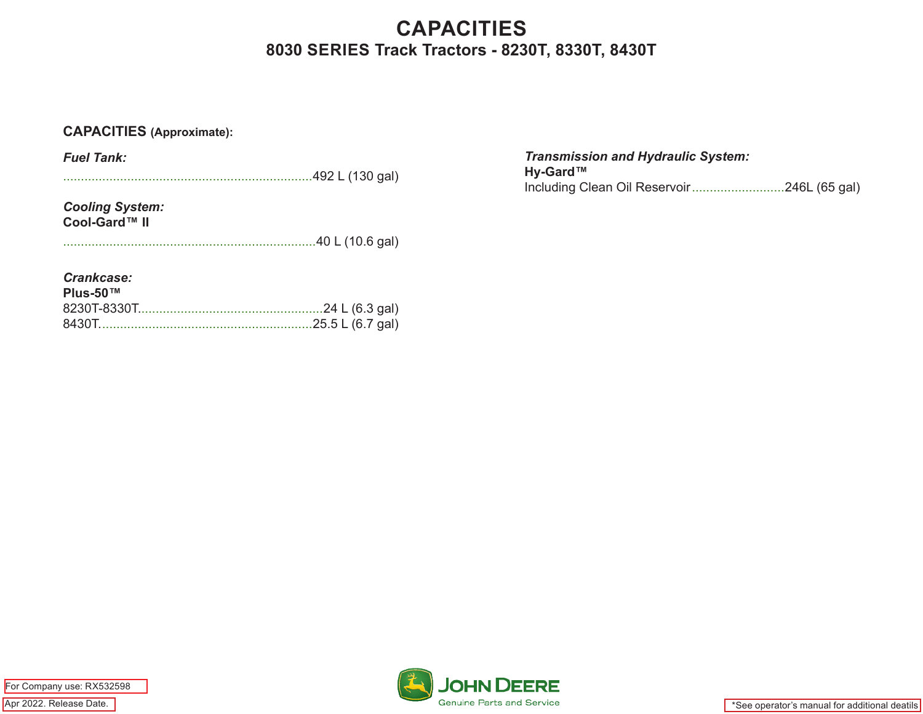# **CAPACITIES 8030 SERIES Track Tractors - 8230T, 8330T, 8430T**

## **CAPACITIES (Approximate):**

*Fuel Tank:*

......................................................................492 L (130 gal)

*Cooling System:* **Cool-Gard™ II**

.......................................................................40 L (10.6 gal)

*Crankcase:*

| Plus-50™ |  |
|----------|--|
|          |  |
|          |  |

*Transmission and Hydraulic System:* **Hy-Gard™** Including Clean Oil Reservoir..........................246L (65 gal)

Apr 2022. Release Date. For Company use: RX532598